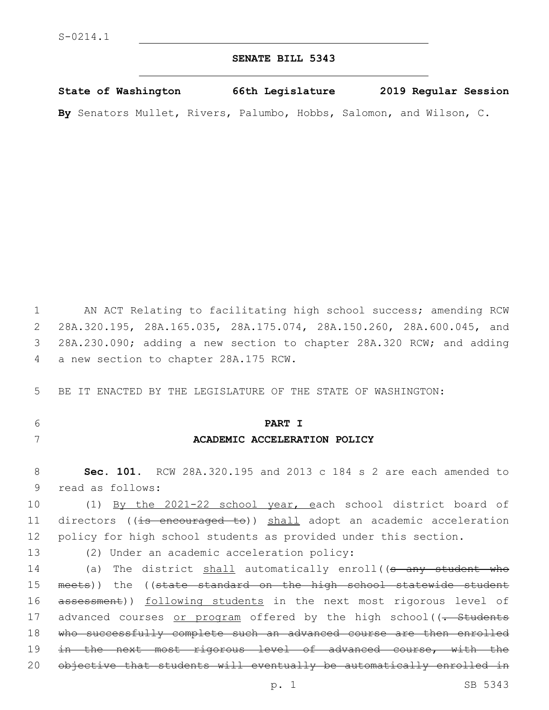### **SENATE BILL 5343**

| State of Washington |  | 66th Legislature                                                    |  | 2019 Regular Session |  |
|---------------------|--|---------------------------------------------------------------------|--|----------------------|--|
|                     |  | By Senators Mullet, Rivers, Palumbo, Hobbs, Salomon, and Wilson, C. |  |                      |  |

 AN ACT Relating to facilitating high school success; amending RCW 28A.320.195, 28A.165.035, 28A.175.074, 28A.150.260, 28A.600.045, and 28A.230.090; adding a new section to chapter 28A.320 RCW; and adding 4 a new section to chapter 28A.175 RCW.

5 BE IT ENACTED BY THE LEGISLATURE OF THE STATE OF WASHINGTON:

# 6 **PART I**

### 7 **ACADEMIC ACCELERATION POLICY**

8 **Sec. 101.** RCW 28A.320.195 and 2013 c 184 s 2 are each amended to 9 read as follows:

10 (1) By the 2021-22 school year, each school district board of 11 directors ((is encouraged to)) shall adopt an academic acceleration 12 policy for high school students as provided under this section.

## 13 (2) Under an academic acceleration policy:

14 (a) The district shall automatically enroll((s any student who 15 meets)) the ((state standard on the high school statewide student 16 assessment)) following students in the next most rigorous level of 17 advanced courses or program offered by the high school((- Students 18 who successfully complete such an advanced course are then enrolled 19 <del>in the next most rigorous level of advanced course, with the</del> 20 objective that students will eventually be automatically enrolled in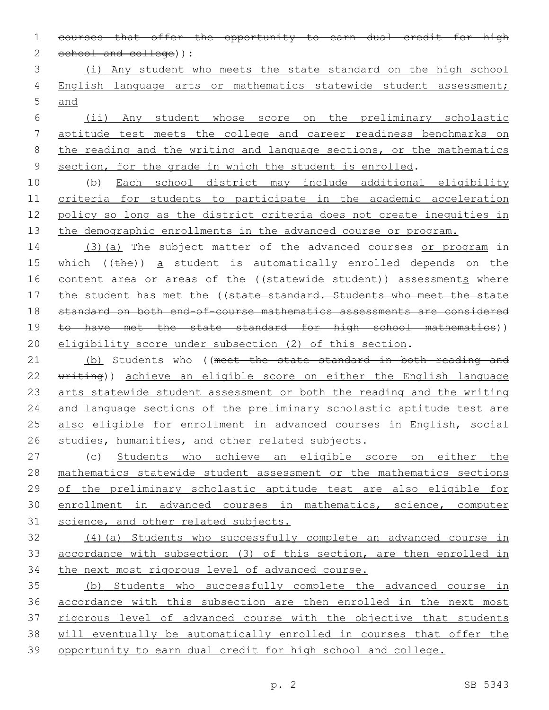courses that offer the opportunity to earn dual credit for high 2 school and college) :

 (i) Any student who meets the state standard on the high school 4 English language arts or mathematics statewide student assessment; and

 (ii) Any student whose score on the preliminary scholastic aptitude test meets the college and career readiness benchmarks on 8 the reading and the writing and language sections, or the mathematics section, for the grade in which the student is enrolled.

 (b) Each school district may include additional eligibility criteria for students to participate in the academic acceleration policy so long as the district criteria does not create inequities in 13 the demographic enrollments in the advanced course or program.

14 (3)(a) The subject matter of the advanced courses or program in 15 which  $($  ( $t$ he)) a student is automatically enrolled depends on the 16 content area or areas of the ((statewide student)) assessments where 17 the student has met the ((state standard. Students who meet the state standard on both end-of-course mathematics assessments are considered 19 to have met the state standard for high school mathematics)) eligibility score under subsection (2) of this section.

21 (b) Students who ((meet the state standard in both reading and 22 writing)) achieve an eligible score on either the English language arts statewide student assessment or both the reading and the writing 24 and language sections of the preliminary scholastic aptitude test are 25 also eligible for enrollment in advanced courses in English, social 26 studies, humanities, and other related subjects.

 (c) Students who achieve an eligible score on either the mathematics statewide student assessment or the mathematics sections of the preliminary scholastic aptitude test are also eligible for enrollment in advanced courses in mathematics, science, computer science, and other related subjects.

 (4)(a) Students who successfully complete an advanced course in accordance with subsection (3) of this section, are then enrolled in the next most rigorous level of advanced course.

 (b) Students who successfully complete the advanced course in accordance with this subsection are then enrolled in the next most rigorous level of advanced course with the objective that students will eventually be automatically enrolled in courses that offer the opportunity to earn dual credit for high school and college.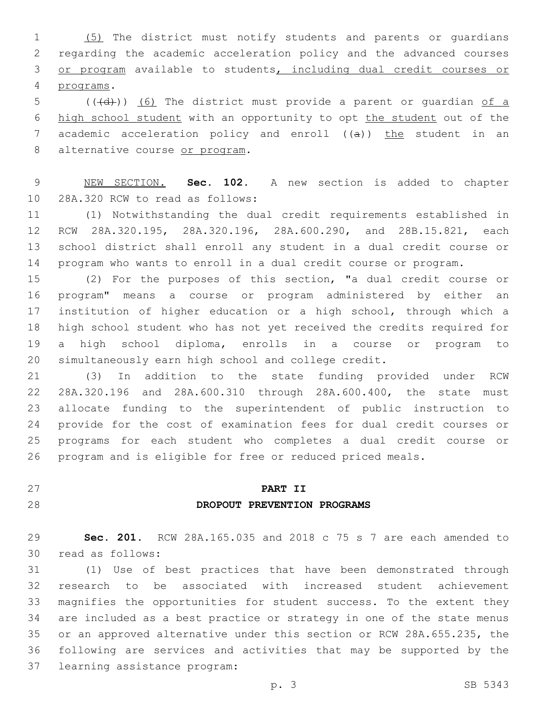(5) The district must notify students and parents or guardians regarding the academic acceleration policy and the advanced courses or program available to students, including dual credit courses or programs.4

 (( $\left(\frac{1}{4}+\right)$ ) (6) The district must provide a parent or quardian of a high school student with an opportunity to opt the student out of the 7 academic acceleration policy and enroll ((a)) the student in an 8 alternative course or program.

 NEW SECTION. **Sec. 102.** A new section is added to chapter 10 28A.320 RCW to read as follows:

 (1) Notwithstanding the dual credit requirements established in RCW 28A.320.195, 28A.320.196, 28A.600.290, and 28B.15.821, each school district shall enroll any student in a dual credit course or program who wants to enroll in a dual credit course or program.

 (2) For the purposes of this section, "a dual credit course or program" means a course or program administered by either an institution of higher education or a high school, through which a high school student who has not yet received the credits required for a high school diploma, enrolls in a course or program to simultaneously earn high school and college credit.

 (3) In addition to the state funding provided under RCW 28A.320.196 and 28A.600.310 through 28A.600.400, the state must allocate funding to the superintendent of public instruction to provide for the cost of examination fees for dual credit courses or programs for each student who completes a dual credit course or program and is eligible for free or reduced priced meals.

# **PART II DROPOUT PREVENTION PROGRAMS**

 **Sec. 201.** RCW 28A.165.035 and 2018 c 75 s 7 are each amended to 30 read as follows:

 (1) Use of best practices that have been demonstrated through research to be associated with increased student achievement magnifies the opportunities for student success. To the extent they are included as a best practice or strategy in one of the state menus or an approved alternative under this section or RCW 28A.655.235, the following are services and activities that may be supported by the 37 learning assistance program: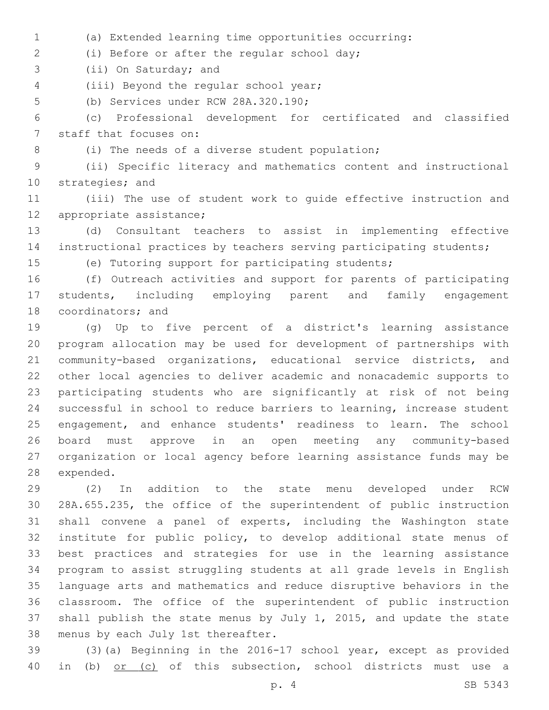(a) Extended learning time opportunities occurring:

(i) Before or after the regular school day;2

3 (ii) On Saturday; and

4 (iii) Beyond the regular school year;

5 (b) Services under RCW 28A.320.190;

 (c) Professional development for certificated and classified 7 staff that focuses on:

- - 8 (i) The needs of a diverse student population;

 (ii) Specific literacy and mathematics content and instructional 10 strategies; and

 (iii) The use of student work to guide effective instruction and 12 appropriate assistance;

 (d) Consultant teachers to assist in implementing effective instructional practices by teachers serving participating students;

(e) Tutoring support for participating students;

 (f) Outreach activities and support for parents of participating students, including employing parent and family engagement 18 coordinators; and

 (g) Up to five percent of a district's learning assistance program allocation may be used for development of partnerships with community-based organizations, educational service districts, and other local agencies to deliver academic and nonacademic supports to participating students who are significantly at risk of not being successful in school to reduce barriers to learning, increase student engagement, and enhance students' readiness to learn. The school board must approve in an open meeting any community-based organization or local agency before learning assistance funds may be 28 expended.

 (2) In addition to the state menu developed under RCW 28A.655.235, the office of the superintendent of public instruction shall convene a panel of experts, including the Washington state institute for public policy, to develop additional state menus of best practices and strategies for use in the learning assistance program to assist struggling students at all grade levels in English language arts and mathematics and reduce disruptive behaviors in the classroom. The office of the superintendent of public instruction shall publish the state menus by July 1, 2015, and update the state 38 menus by each July 1st thereafter.

 (3)(a) Beginning in the 2016-17 school year, except as provided 40 in (b) or (c) of this subsection, school districts must use a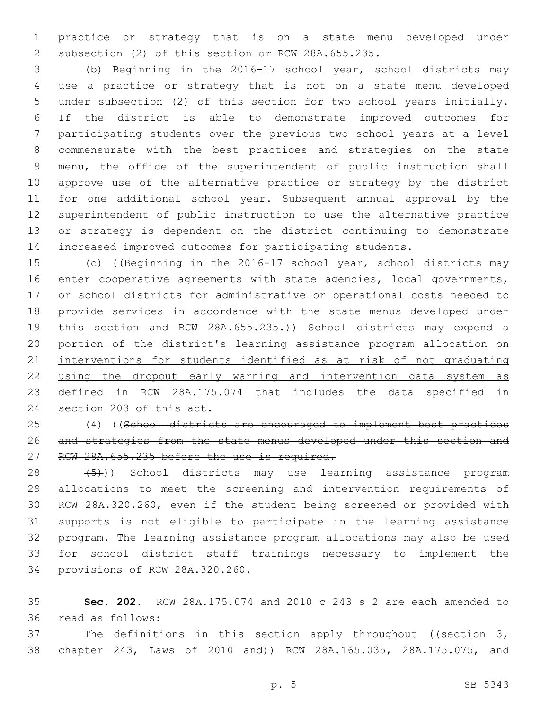practice or strategy that is on a state menu developed under 2 subsection (2) of this section or RCW 28A.655.235.

 (b) Beginning in the 2016-17 school year, school districts may use a practice or strategy that is not on a state menu developed under subsection (2) of this section for two school years initially. If the district is able to demonstrate improved outcomes for participating students over the previous two school years at a level commensurate with the best practices and strategies on the state menu, the office of the superintendent of public instruction shall approve use of the alternative practice or strategy by the district for one additional school year. Subsequent annual approval by the superintendent of public instruction to use the alternative practice or strategy is dependent on the district continuing to demonstrate increased improved outcomes for participating students.

15 (c) ((Beginning in the 2016-17 school year, school districts may 16 enter cooperative agreements with state agencies, local governments, or school districts for administrative or operational costs needed to provide services in accordance with the state menus developed under 19 this section and RCW 28A.655.235.)) School districts may expend a portion of the district's learning assistance program allocation on interventions for students identified as at risk of not graduating using the dropout early warning and intervention data system as defined in RCW 28A.175.074 that includes the data specified in section 203 of this act.

 (4) ((School districts are encouraged to implement best practices and strategies from the state menus developed under this section and 27 RCW 28A.655.235 before the use is required.

28 (5)) School districts may use learning assistance program allocations to meet the screening and intervention requirements of RCW 28A.320.260, even if the student being screened or provided with supports is not eligible to participate in the learning assistance program. The learning assistance program allocations may also be used for school district staff trainings necessary to implement the 34 provisions of RCW 28A.320.260.

 **Sec. 202.** RCW 28A.175.074 and 2010 c 243 s 2 are each amended to 36 read as follows:

37 The definitions in this section apply throughout ((section 3, 38 chapter 243, Laws of 2010 and)) RCW 28A.165.035, 28A.175.075, and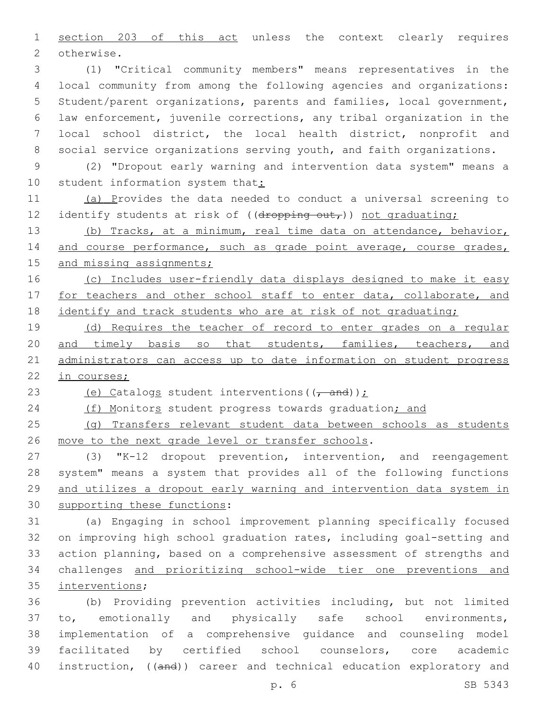1 section 203 of this act unless the context clearly requires 2 otherwise.

 (1) "Critical community members" means representatives in the local community from among the following agencies and organizations: Student/parent organizations, parents and families, local government, law enforcement, juvenile corrections, any tribal organization in the local school district, the local health district, nonprofit and social service organizations serving youth, and faith organizations.

9 (2) "Dropout early warning and intervention data system" means a 10 student information system that:

11 (a) Provides the data needed to conduct a universal screening to 12 identify students at risk of ((dropping out,)) not graduating;

13 (b) Tracks, at a minimum, real time data on attendance, behavior, 14 and course performance, such as grade point average, course grades, 15 and missing assignments;

16 (c) Includes user-friendly data displays designed to make it easy 17 for teachers and other school staff to enter data, collaborate, and 18 identify and track students who are at risk of not graduating;

19 (d) Requires the teacher of record to enter grades on a regular 20 and timely basis so that students, families, teachers, and 21 administrators can access up to date information on student progress 22 in courses;

23 (e) Catalogs student interventions  $((\tau$  and));

24 (f) Monitors student progress towards graduation; and

25 (g) Transfers relevant student data between schools as students 26 move to the next grade level or transfer schools.

 (3) "K-12 dropout prevention, intervention, and reengagement system" means a system that provides all of the following functions and utilizes a dropout early warning and intervention data system in 30 supporting these functions:

 (a) Engaging in school improvement planning specifically focused on improving high school graduation rates, including goal-setting and action planning, based on a comprehensive assessment of strengths and challenges and prioritizing school-wide tier one preventions and 35 interventions;

 (b) Providing prevention activities including, but not limited to, emotionally and physically safe school environments, implementation of a comprehensive guidance and counseling model facilitated by certified school counselors, core academic 40 instruction, ((and)) career and technical education exploratory and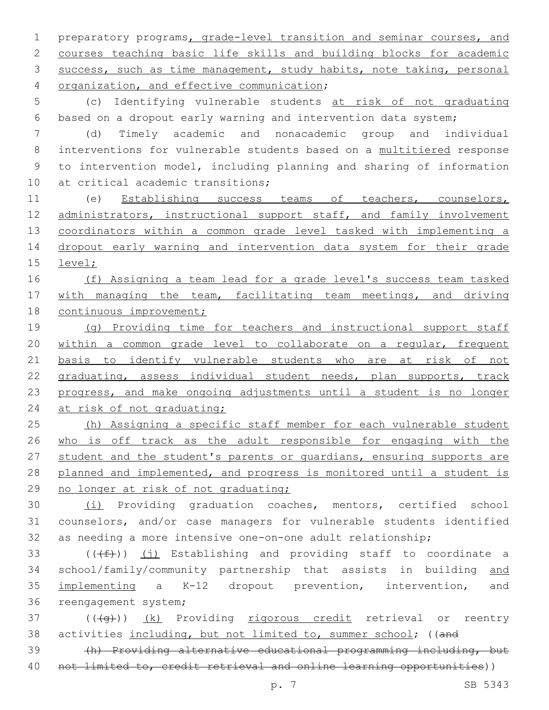1 preparatory programs, grade-level transition and seminar courses, and 2 courses teaching basic life skills and building blocks for academic 3 success, such as time management, study habits, note taking, personal 4 organization, and effective communication;

5 (c) Identifying vulnerable students at risk of not graduating 6 based on a dropout early warning and intervention data system;

7 (d) Timely academic and nonacademic group and individual 8 interventions for vulnerable students based on a multitiered response 9 to intervention model, including planning and sharing of information 10 at critical academic transitions;

11 (e) Establishing success teams of teachers, counselors, 12 administrators, instructional support staff, and family involvement 13 coordinators within a common grade level tasked with implementing a 14 dropout early warning and intervention data system for their grade 15 level;

16 (f) Assigning a team lead for a grade level's success team tasked 17 with managing the team, facilitating team meetings, and driving 18 continuous improvement;

 (g) Providing time for teachers and instructional support staff within a common grade level to collaborate on a regular, frequent basis to identify vulnerable students who are at risk of not 22 graduating, assess individual student needs, plan supports, track progress, and make ongoing adjustments until a student is no longer 24 at risk of not graduating;

25 (h) Assigning a specific staff member for each vulnerable student 26 who is off track as the adult responsible for engaging with the 27 student and the student's parents or quardians, ensuring supports are 28 planned and implemented, and progress is monitored until a student is 29 no longer at risk of not graduating;

30 (i) Providing graduation coaches, mentors, certified school 31 counselors, and/or case managers for vulnerable students identified 32 as needing a more intensive one-on-one adult relationship;

 $((\text{#}))$  (j) Establishing and providing staff to coordinate a school/family/community partnership that assists in building and implementing a K-12 dropout prevention, intervention, and 36 reengagement system;

 $37$  ( $(\overline{+q})$ )  $(k)$  Providing rigorous credit retrieval or reentry 38 activities including, but not limited to, summer school; ((and

39 (h) Providing alternative educational programming including, but 40 not limited to, credit retrieval and online learning opportunities))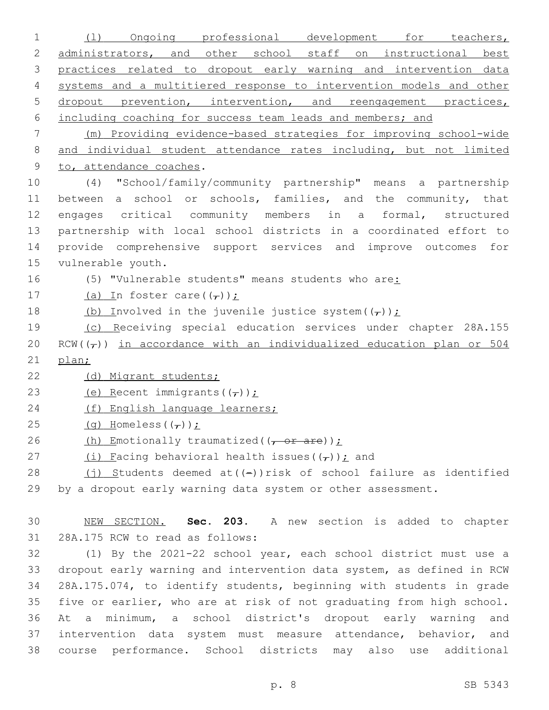| $\mathbf 1$    | Ongoing professional development for teachers,<br>(1)                  |
|----------------|------------------------------------------------------------------------|
| 2              | administrators, and other school staff on instructional best           |
| 3              | practices related to dropout early warning and intervention data       |
| $\overline{4}$ | systems and a multitiered response to intervention models and other    |
| 5              | dropout prevention, intervention, and reengagement practices,          |
| 6              | including coaching for success team leads and members; and             |
| 7              | (m) Providing evidence-based strategies for improving school-wide      |
| $\,8\,$        | and individual student attendance rates including, but not limited     |
| 9              | to, attendance coaches.                                                |
| 10             | "School/family/community partnership" means a partnership<br>(4)       |
| 11             | between a school or schools, families, and the community, that         |
| 12             | engages critical community members in a formal, structured             |
| 13             | partnership with local school districts in a coordinated effort to     |
| 14             | provide comprehensive support services and improve outcomes for        |
| 15             | vulnerable youth.                                                      |
| 16             | (5) "Vulnerable students" means students who are:                      |
| 17             | (a) In foster care( $(\tau)$ );                                        |
| 18             | (b) Involved in the juvenile justice system $((\tau))$ ;               |
| 19             | (c) Receiving special education services under chapter 28A.155         |
| 20             | $RCW((7))$ in accordance with an individualized education plan or 504  |
| 21             | plan;                                                                  |
| 22             | (d) Migrant students;                                                  |
| 23             | (e) Recent immigrants $((\tau))$ :                                     |
| 24             | (f) English language learners;                                         |
| 25             | $(q)$ Homeless $(\tau)$ ):                                             |
| 26             | (h) Emotionally traumatized( $(-$ or are));                            |
| 27             | (i) Facing behavioral health issues $(\tau)$ ): and                    |
| 28             | $(j)$ Students deemed at( $(-)$ ) risk of school failure as identified |
| 29             | by a dropout early warning data system or other assessment.            |
|                |                                                                        |
| 30             | NEW SECTION. Sec. 203. A new section is added to chapter               |
| 31             | 28A.175 RCW to read as follows:                                        |
| 32             | (1) By the 2021-22 school year, each school district must use a        |
| 33             | dropout early warning and intervention data system, as defined in RCW  |
| 34             | 28A.175.074, to identify students, beginning with students in grade    |
| 35             | five or earlier, who are at risk of not graduating from high school.   |
| 36             | a minimum, a school district's dropout early warning<br>At<br>and      |
| 37             | intervention data system must measure attendance, behavior, and        |
| 38             | course performance. School districts may also<br>additional<br>use     |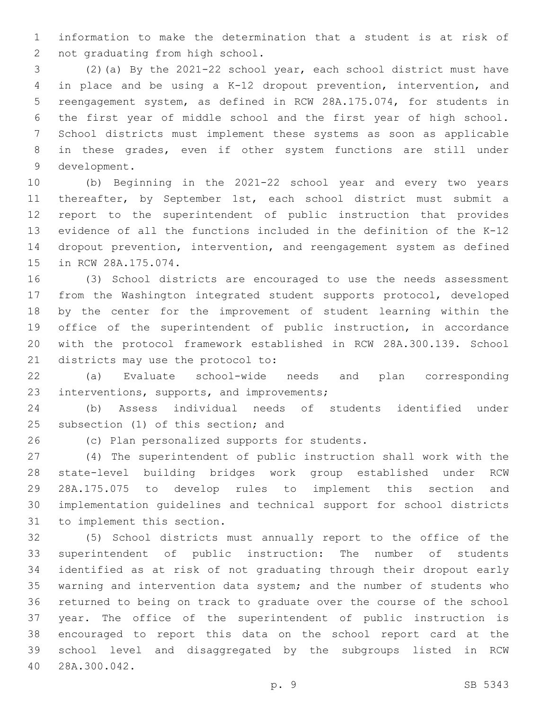information to make the determination that a student is at risk of 2 not graduating from high school.

 (2)(a) By the 2021-22 school year, each school district must have in place and be using a K-12 dropout prevention, intervention, and reengagement system, as defined in RCW 28A.175.074, for students in the first year of middle school and the first year of high school. School districts must implement these systems as soon as applicable in these grades, even if other system functions are still under 9 development.

 (b) Beginning in the 2021-22 school year and every two years 11 thereafter, by September 1st, each school district must submit a report to the superintendent of public instruction that provides evidence of all the functions included in the definition of the K-12 dropout prevention, intervention, and reengagement system as defined 15 in RCW 28A.175.074.

 (3) School districts are encouraged to use the needs assessment from the Washington integrated student supports protocol, developed by the center for the improvement of student learning within the office of the superintendent of public instruction, in accordance with the protocol framework established in RCW 28A.300.139. School 21 districts may use the protocol to:

 (a) Evaluate school-wide needs and plan corresponding 23 interventions, supports, and improvements;

 (b) Assess individual needs of students identified under 25 subsection (1) of this section; and

26 (c) Plan personalized supports for students.

 (4) The superintendent of public instruction shall work with the state-level building bridges work group established under RCW 28A.175.075 to develop rules to implement this section and implementation guidelines and technical support for school districts 31 to implement this section.

 (5) School districts must annually report to the office of the superintendent of public instruction: The number of students identified as at risk of not graduating through their dropout early warning and intervention data system; and the number of students who returned to being on track to graduate over the course of the school year. The office of the superintendent of public instruction is encouraged to report this data on the school report card at the school level and disaggregated by the subgroups listed in RCW 28A.300.042.40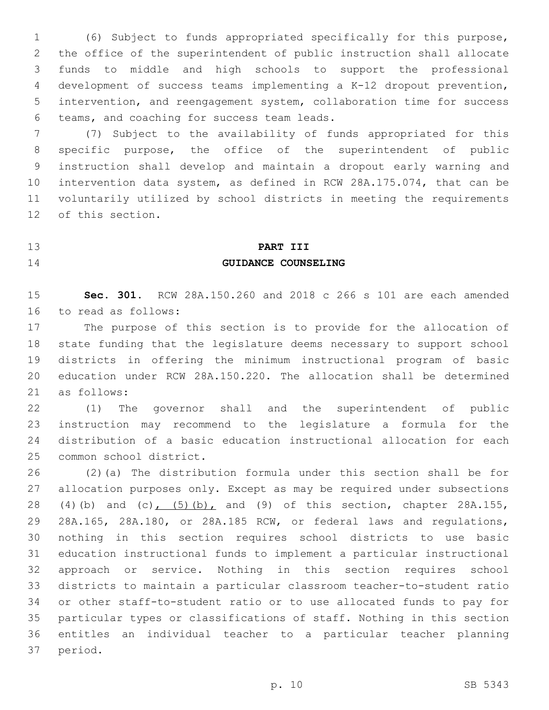(6) Subject to funds appropriated specifically for this purpose, the office of the superintendent of public instruction shall allocate funds to middle and high schools to support the professional development of success teams implementing a K-12 dropout prevention, intervention, and reengagement system, collaboration time for success 6 teams, and coaching for success team leads.

 (7) Subject to the availability of funds appropriated for this specific purpose, the office of the superintendent of public instruction shall develop and maintain a dropout early warning and intervention data system, as defined in RCW 28A.175.074, that can be voluntarily utilized by school districts in meeting the requirements 12 of this section.

### **PART III**

### **GUIDANCE COUNSELING**

 **Sec. 301.** RCW 28A.150.260 and 2018 c 266 s 101 are each amended 16 to read as follows:

 The purpose of this section is to provide for the allocation of state funding that the legislature deems necessary to support school districts in offering the minimum instructional program of basic education under RCW 28A.150.220. The allocation shall be determined as follows:21

 (1) The governor shall and the superintendent of public instruction may recommend to the legislature a formula for the distribution of a basic education instructional allocation for each 25 common school district.

 (2)(a) The distribution formula under this section shall be for allocation purposes only. Except as may be required under subsections 28 (4)(b) and (c), (5)(b), and (9) of this section, chapter 28A.155, 28A.165, 28A.180, or 28A.185 RCW, or federal laws and regulations, nothing in this section requires school districts to use basic education instructional funds to implement a particular instructional approach or service. Nothing in this section requires school districts to maintain a particular classroom teacher-to-student ratio or other staff-to-student ratio or to use allocated funds to pay for particular types or classifications of staff. Nothing in this section entitles an individual teacher to a particular teacher planning 37 period.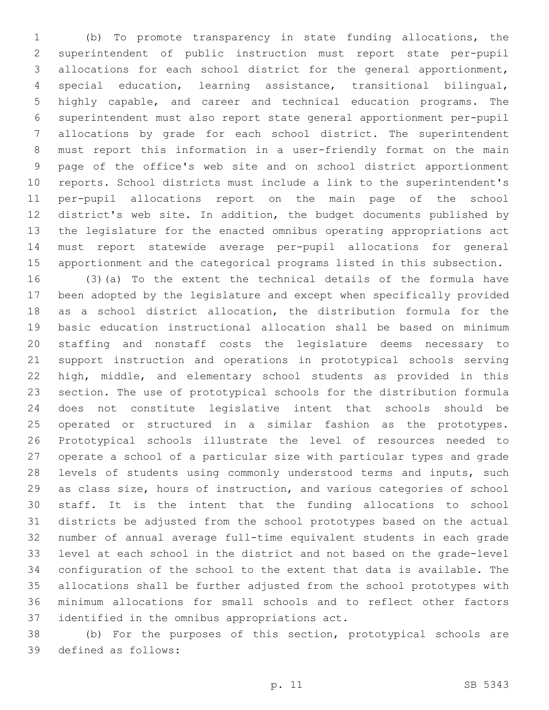(b) To promote transparency in state funding allocations, the superintendent of public instruction must report state per-pupil allocations for each school district for the general apportionment, special education, learning assistance, transitional bilingual, highly capable, and career and technical education programs. The superintendent must also report state general apportionment per-pupil allocations by grade for each school district. The superintendent must report this information in a user-friendly format on the main page of the office's web site and on school district apportionment reports. School districts must include a link to the superintendent's per-pupil allocations report on the main page of the school district's web site. In addition, the budget documents published by the legislature for the enacted omnibus operating appropriations act must report statewide average per-pupil allocations for general apportionment and the categorical programs listed in this subsection. (3)(a) To the extent the technical details of the formula have been adopted by the legislature and except when specifically provided as a school district allocation, the distribution formula for the basic education instructional allocation shall be based on minimum staffing and nonstaff costs the legislature deems necessary to support instruction and operations in prototypical schools serving high, middle, and elementary school students as provided in this section. The use of prototypical schools for the distribution formula does not constitute legislative intent that schools should be operated or structured in a similar fashion as the prototypes. Prototypical schools illustrate the level of resources needed to operate a school of a particular size with particular types and grade levels of students using commonly understood terms and inputs, such as class size, hours of instruction, and various categories of school staff. It is the intent that the funding allocations to school districts be adjusted from the school prototypes based on the actual number of annual average full-time equivalent students in each grade level at each school in the district and not based on the grade-level configuration of the school to the extent that data is available. The allocations shall be further adjusted from the school prototypes with minimum allocations for small schools and to reflect other factors 37 identified in the omnibus appropriations act.

 (b) For the purposes of this section, prototypical schools are 39 defined as follows: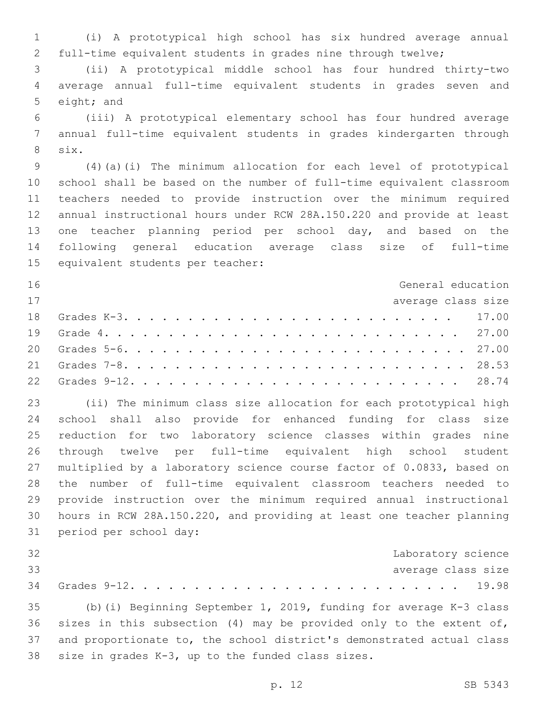(i) A prototypical high school has six hundred average annual full-time equivalent students in grades nine through twelve;

 (ii) A prototypical middle school has four hundred thirty-two average annual full-time equivalent students in grades seven and 5 eight; and

 (iii) A prototypical elementary school has four hundred average annual full-time equivalent students in grades kindergarten through 8 six.

 (4)(a)(i) The minimum allocation for each level of prototypical school shall be based on the number of full-time equivalent classroom teachers needed to provide instruction over the minimum required annual instructional hours under RCW 28A.150.220 and provide at least one teacher planning period per school day, and based on the following general education average class size of full-time 15 equivalent students per teacher:

| 16 | General education  |  |
|----|--------------------|--|
| 17 | average class size |  |
|    |                    |  |
|    |                    |  |
|    |                    |  |
|    |                    |  |
|    |                    |  |

 (ii) The minimum class size allocation for each prototypical high school shall also provide for enhanced funding for class size reduction for two laboratory science classes within grades nine through twelve per full-time equivalent high school student multiplied by a laboratory science course factor of 0.0833, based on the number of full-time equivalent classroom teachers needed to provide instruction over the minimum required annual instructional hours in RCW 28A.150.220, and providing at least one teacher planning 31 period per school day:

| 32 |                                                                       |  |  | Laboratory science |  |
|----|-----------------------------------------------------------------------|--|--|--------------------|--|
| 33 |                                                                       |  |  | average class size |  |
|    |                                                                       |  |  |                    |  |
|    | 35 (b) (i) Beginning September 1, 2019, funding for average K-3 class |  |  |                    |  |

36 sizes in this subsection  $(4)$  may be provided only to the extent of, and proportionate to, the school district's demonstrated actual class 38 size in grades  $K-3$ , up to the funded class sizes.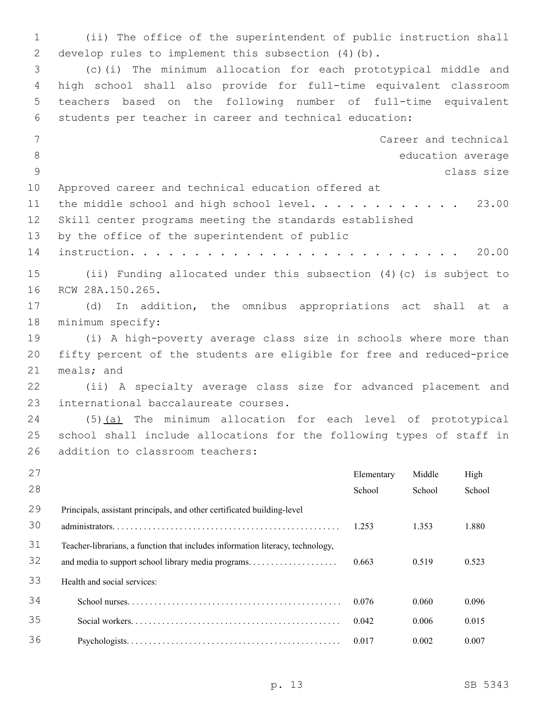1 (ii) The office of the superintendent of public instruction shall 2 develop rules to implement this subsection  $(4)(b)$ . 3 (c)(i) The minimum allocation for each prototypical middle and 4 high school shall also provide for full-time equivalent classroom 5 teachers based on the following number of full-time equivalent 6 students per teacher in career and technical education: 7 Career and technical 8 education average 9 class size 10 Approved career and technical education offered at 11 the middle school and high school level. . . . . . . . . . . 23.00 12 Skill center programs meeting the standards established 13 by the office of the superintendent of public 14 instruction. . . . . . . . . . . . . . . . . . . . . . . . . . 20.00 15 (ii) Funding allocated under this subsection (4)(c) is subject to 16 RCW 28A.150.265. 17 (d) In addition, the omnibus appropriations act shall at a 18 minimum specify: 19 (i) A high-poverty average class size in schools where more than 20 fifty percent of the students are eligible for free and reduced-price 21 meals; and 22 (ii) A specialty average class size for advanced placement and 23 international baccalaureate courses. 24 (5)(a) The minimum allocation for each level of prototypical 25 school shall include allocations for the following types of staff in 26 addition to classroom teachers: 27 28 Elementary School Middle School High School 29 30 Principals, assistant principals, and other certificated building-level administrators. . . . . . . . . . . . . . . . . . . . . . . . . . . . . . . . . . . . . . . . . . . . . . . . . . . 1.253 1.353 1.880 31 32 Teacher-librarians, a function that includes information literacy, technology, and media to support school library media programs. . . . . . . . . . . . . . . . . . . . 0.663 0.519 0.523 33 Health and social services: 34 School nurses. . . . . . . . . . . . . . . . . . . . . . . . . . . . . . . . . . . . . . . . . . . . . . . . 0.076 0.060 0.096 35 Social workers. . . . . . . . . . . . . . . . . . . . . . . . . . . . . . . . . . . . . . . . . . . . . . . 0.042 0.006 0.015 36 Psychologists. . . . . . . . . . . . . . . . . . . . . . . . . . . . . . . . . . . . . . . . . . . . . . . . 0.017 0.002 0.007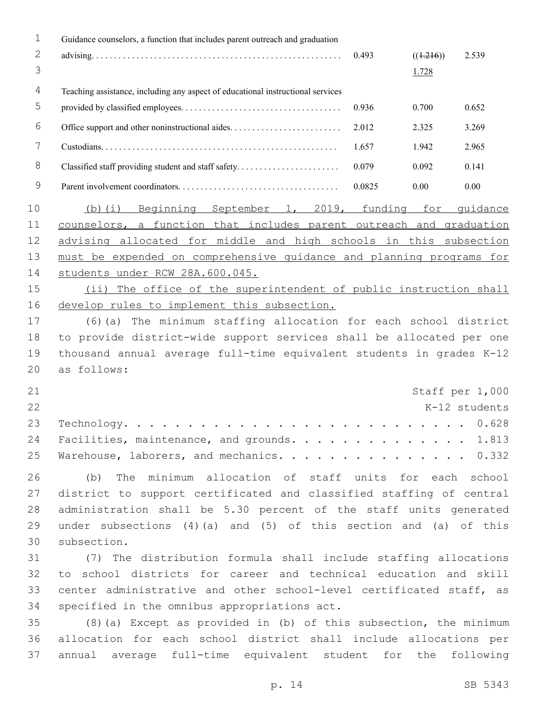| 1                 | Guidance counselors, a function that includes parent outreach and graduation    |        |                    |                 |
|-------------------|---------------------------------------------------------------------------------|--------|--------------------|-----------------|
| $\mathbf{2}$<br>3 |                                                                                 | 0.493  | ((1.216))<br>1.728 | 2.539           |
| $\overline{4}$    | Teaching assistance, including any aspect of educational instructional services |        |                    |                 |
| 5                 |                                                                                 | 0.936  | 0.700              | 0.652           |
| 6                 |                                                                                 | 2.012  | 2.325              | 3.269           |
| 7                 |                                                                                 | 1.657  | 1.942              | 2.965           |
| $\,8\,$           | Classified staff providing student and staff safety                             | 0.079  | 0.092              | 0.141           |
| $\mathsf 9$       |                                                                                 | 0.0825 | 0.00               | 0.00            |
| 10                | (b)(i) Beginning September 1, 2019, funding for guidance                        |        |                    |                 |
| 11                | counselors, a function that includes parent outreach and graduation             |        |                    |                 |
| 12                | advising allocated for middle and high schools in this subsection               |        |                    |                 |
| 13                | must be expended on comprehensive quidance and planning programs for            |        |                    |                 |
| 14                | students under RCW 28A.600.045.                                                 |        |                    |                 |
| 15                | (ii) The office of the superintendent of public instruction shall               |        |                    |                 |
| 16                | develop rules to implement this subsection.                                     |        |                    |                 |
| 17                | (6) (a) The minimum staffing allocation for each school district                |        |                    |                 |
| 18                | to provide district-wide support services shall be allocated per one            |        |                    |                 |
| 19                | thousand annual average full-time equivalent students in grades K-12            |        |                    |                 |
| 20                | as follows:                                                                     |        |                    |                 |
| 21                |                                                                                 |        |                    | Staff per 1,000 |
| 22                |                                                                                 |        |                    | K-12 students   |
| 23                | $Technology.$                                                                   |        |                    | 0.628           |
| 24                | Facilities, maintenance, and grounds. 1.813                                     |        |                    |                 |
| 25                | Warehouse, laborers, and mechanics. 0.332                                       |        |                    |                 |
| 26                | The minimum allocation of staff units for each school<br>(b)                    |        |                    |                 |
| 27                | district to support certificated and classified staffing of central             |        |                    |                 |
| 28                | administration shall be 5.30 percent of the staff units generated               |        |                    |                 |
| 29                | under subsections $(4)(a)$ and $(5)$ of this section and $(a)$ of this          |        |                    |                 |
| 30                | subsection.                                                                     |        |                    |                 |
| 31                | (7) The distribution formula shall include staffing allocations                 |        |                    |                 |
| 32                | to school districts for career and technical education and skill                |        |                    |                 |
| 33                | center administrative and other school-level certificated staff, as             |        |                    |                 |
| 34                | specified in the omnibus appropriations act.                                    |        |                    |                 |
| 35                | (8) (a) Except as provided in (b) of this subsection, the minimum               |        |                    |                 |
| 36                | allocation for each school district shall include allocations per               |        |                    |                 |
| 37                | annual average full-time equivalent student for the                             |        |                    | following       |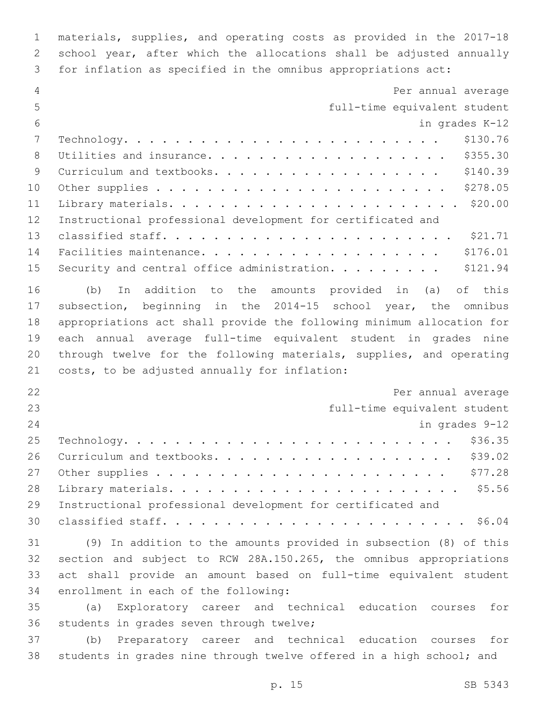materials, supplies, and operating costs as provided in the 2017-18 school year, after which the allocations shall be adjusted annually for inflation as specified in the omnibus appropriations act:

| 4  | Per annual average                                                    |
|----|-----------------------------------------------------------------------|
| 5  | full-time equivalent student                                          |
| 6  | in grades K-12                                                        |
| 7  | \$130.76                                                              |
| 8  | \$355.30<br>Utilities and insurance.                                  |
| 9  | \$140.39<br>Curriculum and textbooks.                                 |
| 10 | \$278.05                                                              |
| 11 | \$20.00                                                               |
| 12 | Instructional professional development for certificated and           |
| 13 | \$21.71                                                               |
| 14 | \$176.01<br>Facilities maintenance.                                   |
| 15 | \$121.94<br>Security and central office administration.               |
| 16 | In addition to the amounts provided in (a) of this<br>(b)             |
| 17 | subsection, beginning in the 2014-15 school year, the omnibus         |
| 18 | appropriations act shall provide the following minimum allocation for |
| 19 | each annual average full-time equivalent student in grades nine       |
| 20 | through twelve for the following materials, supplies, and operating   |
| 21 | costs, to be adjusted annually for inflation:                         |
| 22 | Per annual average                                                    |
| 23 | full-time equivalent student                                          |
| 24 | in grades 9-12                                                        |
| 25 | \$36.35                                                               |
| 26 | \$39.02<br>Curriculum and textbooks.                                  |
| 27 | \$77.28                                                               |
| 28 | \$5.56                                                                |
| 29 | Instructional professional development for certificated and           |
| 30 |                                                                       |
| 31 | (9) In addition to the amounts provided in subsection (8) of this     |
| 32 | section and subject to RCW 28A.150.265, the omnibus appropriations    |
| 33 | act shall provide an amount based on full-time equivalent student     |
| 34 | enrollment in each of the following:                                  |
| 35 | Exploratory career and technical education courses<br>for<br>(a)      |
| 36 | students in grades seven through twelve;                              |
| 37 | Preparatory career and technical education<br>for<br>(b)<br>courses   |

students in grades nine through twelve offered in a high school; and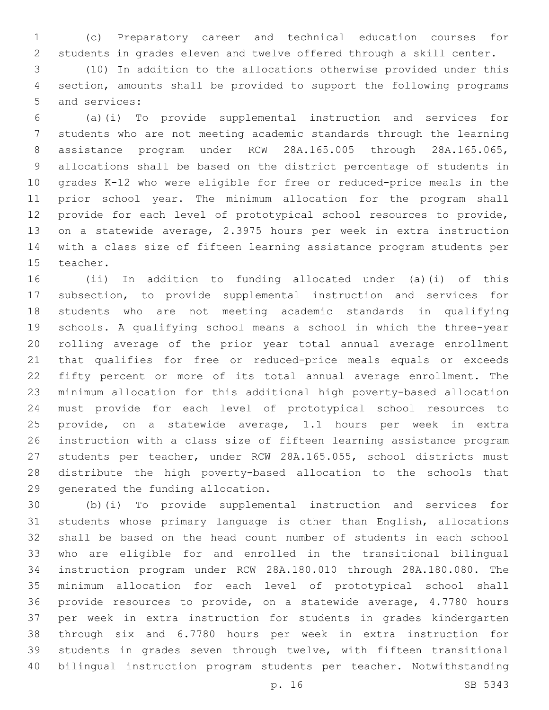(c) Preparatory career and technical education courses for students in grades eleven and twelve offered through a skill center.

 (10) In addition to the allocations otherwise provided under this section, amounts shall be provided to support the following programs 5 and services:

 (a)(i) To provide supplemental instruction and services for students who are not meeting academic standards through the learning assistance program under RCW 28A.165.005 through 28A.165.065, allocations shall be based on the district percentage of students in grades K-12 who were eligible for free or reduced-price meals in the prior school year. The minimum allocation for the program shall provide for each level of prototypical school resources to provide, on a statewide average, 2.3975 hours per week in extra instruction with a class size of fifteen learning assistance program students per 15 teacher.

 (ii) In addition to funding allocated under (a)(i) of this subsection, to provide supplemental instruction and services for students who are not meeting academic standards in qualifying schools. A qualifying school means a school in which the three-year rolling average of the prior year total annual average enrollment that qualifies for free or reduced-price meals equals or exceeds fifty percent or more of its total annual average enrollment. The minimum allocation for this additional high poverty-based allocation must provide for each level of prototypical school resources to provide, on a statewide average, 1.1 hours per week in extra instruction with a class size of fifteen learning assistance program students per teacher, under RCW 28A.165.055, school districts must distribute the high poverty-based allocation to the schools that 29 generated the funding allocation.

 (b)(i) To provide supplemental instruction and services for students whose primary language is other than English, allocations shall be based on the head count number of students in each school who are eligible for and enrolled in the transitional bilingual instruction program under RCW 28A.180.010 through 28A.180.080. The minimum allocation for each level of prototypical school shall provide resources to provide, on a statewide average, 4.7780 hours per week in extra instruction for students in grades kindergarten through six and 6.7780 hours per week in extra instruction for students in grades seven through twelve, with fifteen transitional bilingual instruction program students per teacher. Notwithstanding

p. 16 SB 5343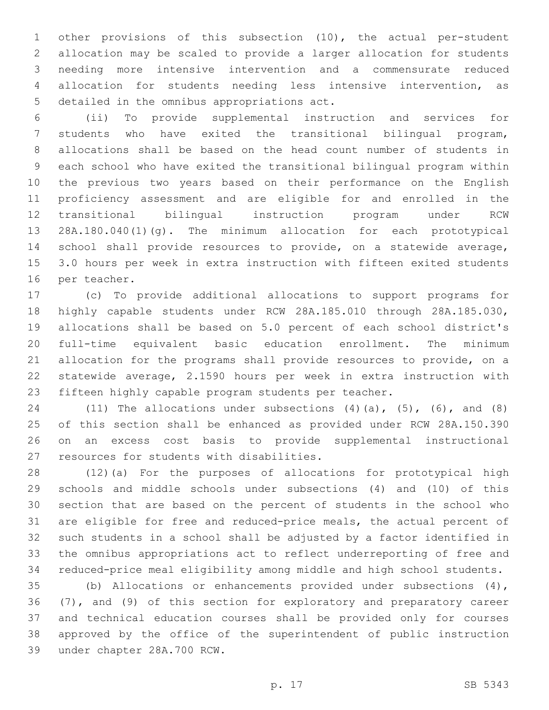other provisions of this subsection (10), the actual per-student allocation may be scaled to provide a larger allocation for students needing more intensive intervention and a commensurate reduced allocation for students needing less intensive intervention, as 5 detailed in the omnibus appropriations act.

 (ii) To provide supplemental instruction and services for students who have exited the transitional bilingual program, allocations shall be based on the head count number of students in each school who have exited the transitional bilingual program within the previous two years based on their performance on the English proficiency assessment and are eligible for and enrolled in the transitional bilingual instruction program under RCW 28A.180.040(1)(g). The minimum allocation for each prototypical school shall provide resources to provide, on a statewide average, 3.0 hours per week in extra instruction with fifteen exited students 16 per teacher.

 (c) To provide additional allocations to support programs for highly capable students under RCW 28A.185.010 through 28A.185.030, allocations shall be based on 5.0 percent of each school district's full-time equivalent basic education enrollment. The minimum allocation for the programs shall provide resources to provide, on a statewide average, 2.1590 hours per week in extra instruction with fifteen highly capable program students per teacher.

24 (11) The allocations under subsections  $(4)$   $(a)$ ,  $(5)$ ,  $(6)$ , and  $(8)$  of this section shall be enhanced as provided under RCW 28A.150.390 on an excess cost basis to provide supplemental instructional 27 resources for students with disabilities.

 (12)(a) For the purposes of allocations for prototypical high schools and middle schools under subsections (4) and (10) of this section that are based on the percent of students in the school who are eligible for free and reduced-price meals, the actual percent of such students in a school shall be adjusted by a factor identified in the omnibus appropriations act to reflect underreporting of free and reduced-price meal eligibility among middle and high school students.

 (b) Allocations or enhancements provided under subsections (4), (7), and (9) of this section for exploratory and preparatory career and technical education courses shall be provided only for courses approved by the office of the superintendent of public instruction 39 under chapter 28A.700 RCW.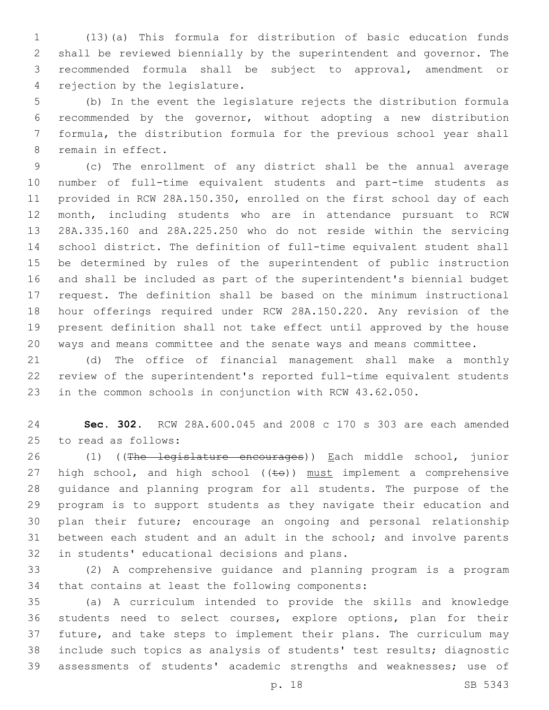(13)(a) This formula for distribution of basic education funds shall be reviewed biennially by the superintendent and governor. The recommended formula shall be subject to approval, amendment or 4 rejection by the legislature.

 (b) In the event the legislature rejects the distribution formula recommended by the governor, without adopting a new distribution formula, the distribution formula for the previous school year shall 8 remain in effect.

 (c) The enrollment of any district shall be the annual average number of full-time equivalent students and part-time students as provided in RCW 28A.150.350, enrolled on the first school day of each month, including students who are in attendance pursuant to RCW 28A.335.160 and 28A.225.250 who do not reside within the servicing school district. The definition of full-time equivalent student shall be determined by rules of the superintendent of public instruction and shall be included as part of the superintendent's biennial budget request. The definition shall be based on the minimum instructional hour offerings required under RCW 28A.150.220. Any revision of the present definition shall not take effect until approved by the house ways and means committee and the senate ways and means committee.

 (d) The office of financial management shall make a monthly review of the superintendent's reported full-time equivalent students in the common schools in conjunction with RCW 43.62.050.

 **Sec. 302.** RCW 28A.600.045 and 2008 c 170 s 303 are each amended 25 to read as follows:

26 (1) ((The legislature encourages)) Each middle school, junior 27 high school, and high school  $((\text{te}))$  must implement a comprehensive guidance and planning program for all students. The purpose of the program is to support students as they navigate their education and plan their future; encourage an ongoing and personal relationship between each student and an adult in the school; and involve parents 32 in students' educational decisions and plans.

 (2) A comprehensive guidance and planning program is a program 34 that contains at least the following components:

 (a) A curriculum intended to provide the skills and knowledge students need to select courses, explore options, plan for their future, and take steps to implement their plans. The curriculum may include such topics as analysis of students' test results; diagnostic assessments of students' academic strengths and weaknesses; use of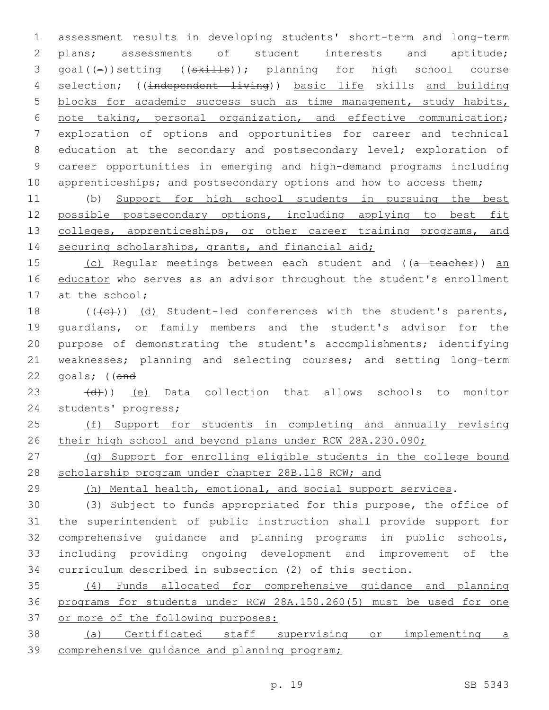1 assessment results in developing students' short-term and long-term 2 plans; assessments of student interests and aptitude; 3 goal((-))setting ((skills)); planning for high school course 4 selection; ((independent living)) basic life skills and building 5 blocks for academic success such as time management, study habits, 6 note taking, personal organization, and effective communication; 7 exploration of options and opportunities for career and technical 8 education at the secondary and postsecondary level; exploration of 9 career opportunities in emerging and high-demand programs including 10 apprenticeships; and postsecondary options and how to access them;

11 (b) Support for high school students in pursuing the best 12 possible postsecondary options, including applying to best fit 13 colleges, apprenticeships, or other career training programs, and 14 securing scholarships, grants, and financial aid;

15 (c) Regular meetings between each student and ((a teacher)) an 16 educator who serves as an advisor throughout the student's enrollment 17 at the school;

 $((+e))$   $(d)$  Student-led conferences with the student's parents, guardians, or family members and the student's advisor for the purpose of demonstrating the student's accomplishments; identifying weaknesses; planning and selecting courses; and setting long-term goals; ((and

 $(23 + (d))$  (e) Data collection that allows schools to monitor 24 students' progress;

25 (f) Support for students in completing and annually revising 26 their high school and beyond plans under RCW 28A.230.090;

27 (g) Support for enrolling eligible students in the college bound 28 scholarship program under chapter 28B.118 RCW; and

29 (h) Mental health, emotional, and social support services.

 (3) Subject to funds appropriated for this purpose, the office of the superintendent of public instruction shall provide support for comprehensive guidance and planning programs in public schools, including providing ongoing development and improvement of the curriculum described in subsection (2) of this section.

35 (4) Funds allocated for comprehensive guidance and planning 36 programs for students under RCW 28A.150.260(5) must be used for one 37 or more of the following purposes:

38 (a) Certificated staff supervising or implementing a 39 comprehensive guidance and planning program;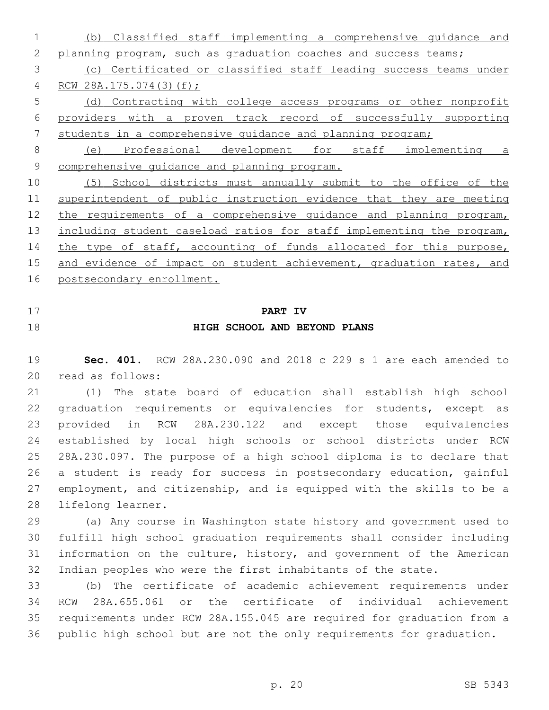(b) Classified staff implementing a comprehensive guidance and 2 planning program, such as graduation coaches and success teams; (c) Certificated or classified staff leading success teams under RCW 28A.175.074(3)(f); (d) Contracting with college access programs or other nonprofit providers with a proven track record of successfully supporting students in a comprehensive guidance and planning program; (e) Professional development for staff implementing a comprehensive guidance and planning program. (5) School districts must annually submit to the office of the 11 superintendent of public instruction evidence that they are meeting 12 the requirements of a comprehensive quidance and planning program, 13 including student caseload ratios for staff implementing the program, 14 the type of staff, accounting of funds allocated for this purpose,

15 and evidence of impact on student achievement, graduation rates, and postsecondary enrollment.

- 
- 

# **PART IV HIGH SCHOOL AND BEYOND PLANS**

 **Sec. 401.** RCW 28A.230.090 and 2018 c 229 s 1 are each amended to 20 read as follows:

 (1) The state board of education shall establish high school graduation requirements or equivalencies for students, except as provided in RCW 28A.230.122 and except those equivalencies established by local high schools or school districts under RCW 28A.230.097. The purpose of a high school diploma is to declare that a student is ready for success in postsecondary education, gainful employment, and citizenship, and is equipped with the skills to be a 28 lifelong learner.

 (a) Any course in Washington state history and government used to fulfill high school graduation requirements shall consider including information on the culture, history, and government of the American Indian peoples who were the first inhabitants of the state.

 (b) The certificate of academic achievement requirements under RCW 28A.655.061 or the certificate of individual achievement requirements under RCW 28A.155.045 are required for graduation from a public high school but are not the only requirements for graduation.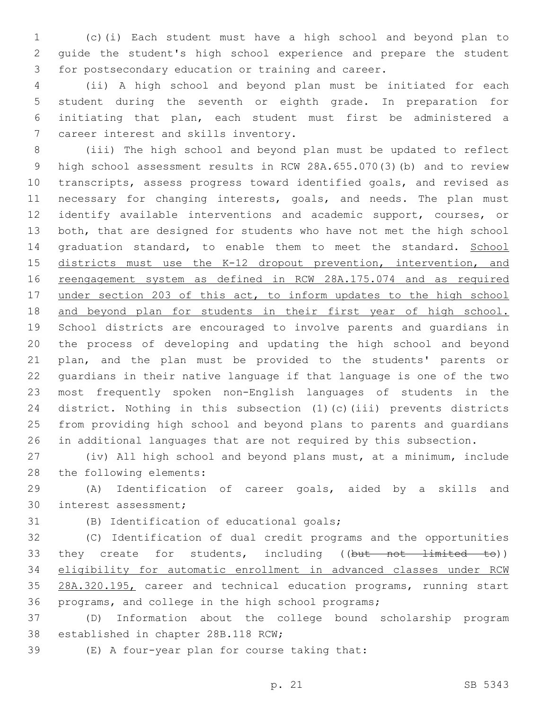(c)(i) Each student must have a high school and beyond plan to guide the student's high school experience and prepare the student for postsecondary education or training and career.

 (ii) A high school and beyond plan must be initiated for each student during the seventh or eighth grade. In preparation for initiating that plan, each student must first be administered a 7 career interest and skills inventory.

 (iii) The high school and beyond plan must be updated to reflect high school assessment results in RCW 28A.655.070(3)(b) and to review transcripts, assess progress toward identified goals, and revised as 11 necessary for changing interests, goals, and needs. The plan must identify available interventions and academic support, courses, or both, that are designed for students who have not met the high school 14 graduation standard, to enable them to meet the standard. School 15 districts must use the K-12 dropout prevention, intervention, and 16 reengagement system as defined in RCW 28A.175.074 and as required 17 under section 203 of this act, to inform updates to the high school and beyond plan for students in their first year of high school. School districts are encouraged to involve parents and guardians in the process of developing and updating the high school and beyond plan, and the plan must be provided to the students' parents or guardians in their native language if that language is one of the two most frequently spoken non-English languages of students in the district. Nothing in this subsection (1)(c)(iii) prevents districts from providing high school and beyond plans to parents and guardians in additional languages that are not required by this subsection.

 (iv) All high school and beyond plans must, at a minimum, include 28 the following elements:

 (A) Identification of career goals, aided by a skills and 30 interest assessment;

(B) Identification of educational goals;

 (C) Identification of dual credit programs and the opportunities 33 they create for students, including ((but not limited to)) eligibility for automatic enrollment in advanced classes under RCW 28A.320.195, career and technical education programs, running start programs, and college in the high school programs;

 (D) Information about the college bound scholarship program 38 established in chapter 28B.118 RCW;

(E) A four-year plan for course taking that: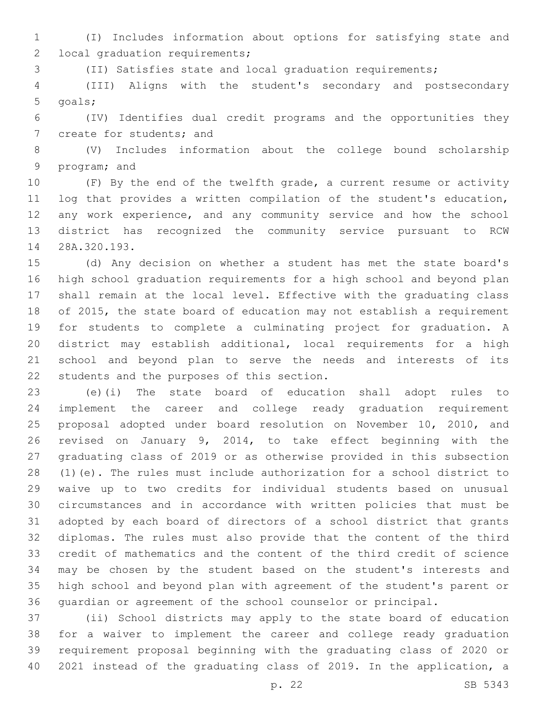(I) Includes information about options for satisfying state and 2 local graduation requirements;

(II) Satisfies state and local graduation requirements;

 (III) Aligns with the student's secondary and postsecondary 5 goals;

 (IV) Identifies dual credit programs and the opportunities they 7 create for students; and

 (V) Includes information about the college bound scholarship 9 program; and

 (F) By the end of the twelfth grade, a current resume or activity log that provides a written compilation of the student's education, any work experience, and any community service and how the school district has recognized the community service pursuant to RCW 14 28A.320.193.

 (d) Any decision on whether a student has met the state board's high school graduation requirements for a high school and beyond plan shall remain at the local level. Effective with the graduating class of 2015, the state board of education may not establish a requirement for students to complete a culminating project for graduation. A district may establish additional, local requirements for a high school and beyond plan to serve the needs and interests of its 22 students and the purposes of this section.

 (e)(i) The state board of education shall adopt rules to implement the career and college ready graduation requirement proposal adopted under board resolution on November 10, 2010, and revised on January 9, 2014, to take effect beginning with the graduating class of 2019 or as otherwise provided in this subsection (1)(e). The rules must include authorization for a school district to waive up to two credits for individual students based on unusual circumstances and in accordance with written policies that must be adopted by each board of directors of a school district that grants diplomas. The rules must also provide that the content of the third credit of mathematics and the content of the third credit of science may be chosen by the student based on the student's interests and high school and beyond plan with agreement of the student's parent or guardian or agreement of the school counselor or principal.

 (ii) School districts may apply to the state board of education for a waiver to implement the career and college ready graduation requirement proposal beginning with the graduating class of 2020 or 2021 instead of the graduating class of 2019. In the application, a

p. 22 SB 5343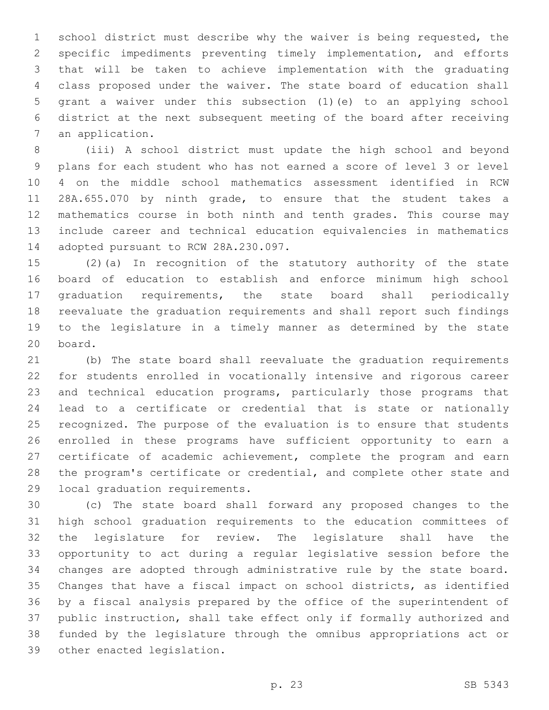school district must describe why the waiver is being requested, the specific impediments preventing timely implementation, and efforts that will be taken to achieve implementation with the graduating class proposed under the waiver. The state board of education shall grant a waiver under this subsection (1)(e) to an applying school district at the next subsequent meeting of the board after receiving 7 an application.

 (iii) A school district must update the high school and beyond plans for each student who has not earned a score of level 3 or level 4 on the middle school mathematics assessment identified in RCW 28A.655.070 by ninth grade, to ensure that the student takes a mathematics course in both ninth and tenth grades. This course may include career and technical education equivalencies in mathematics 14 adopted pursuant to RCW 28A.230.097.

 (2)(a) In recognition of the statutory authority of the state board of education to establish and enforce minimum high school graduation requirements, the state board shall periodically reevaluate the graduation requirements and shall report such findings to the legislature in a timely manner as determined by the state 20 board.

 (b) The state board shall reevaluate the graduation requirements for students enrolled in vocationally intensive and rigorous career and technical education programs, particularly those programs that lead to a certificate or credential that is state or nationally recognized. The purpose of the evaluation is to ensure that students enrolled in these programs have sufficient opportunity to earn a certificate of academic achievement, complete the program and earn the program's certificate or credential, and complete other state and 29 local graduation requirements.

 (c) The state board shall forward any proposed changes to the high school graduation requirements to the education committees of the legislature for review. The legislature shall have the opportunity to act during a regular legislative session before the changes are adopted through administrative rule by the state board. Changes that have a fiscal impact on school districts, as identified by a fiscal analysis prepared by the office of the superintendent of public instruction, shall take effect only if formally authorized and funded by the legislature through the omnibus appropriations act or 39 other enacted legislation.